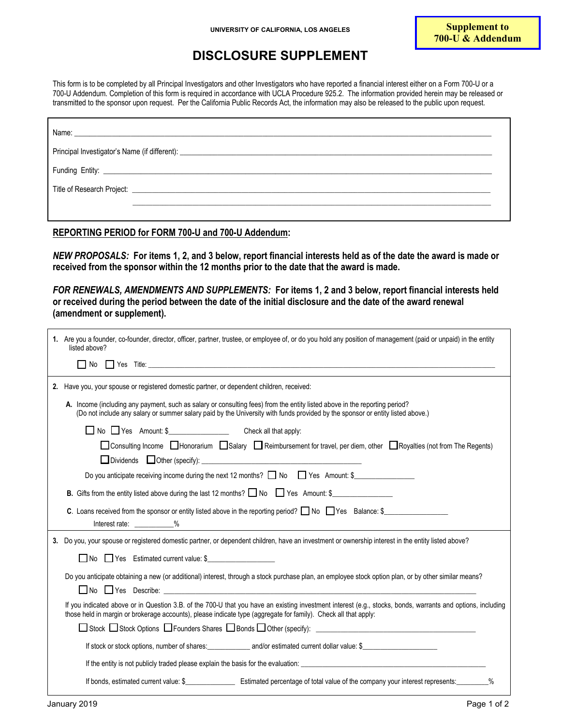## **DISCLOSURE SUPPLEMENT**

This form is to be completed by all Principal Investigators and other Investigators who have reported a financial interest either on a Form 700-U or a 700-U Addendum. Completion of this form is required in accordance with UCLA Procedure 925.2. The information provided herein may be released or transmitted to the sponsor upon request. Per the California Public Records Act, the information may also be released to the public upon request.

| Name: Name: Name: Name: Name: Name: Name: Name: Name: Name: Name: Name: Name: Name: Name: Name: Name: Name: Name: Name: Name: Name: Name: Name: Name: Name: Name: Name: Name: Name: Name: Name: Name: Name: Name: Name: Name: |  |  |
|-------------------------------------------------------------------------------------------------------------------------------------------------------------------------------------------------------------------------------|--|--|
|                                                                                                                                                                                                                               |  |  |
|                                                                                                                                                                                                                               |  |  |
|                                                                                                                                                                                                                               |  |  |
|                                                                                                                                                                                                                               |  |  |

**REPORTING PERIOD for FORM 700-U and 700-U Addendum:** 

*NEW PROPOSALS:* **For items 1, 2, and 3 below, report financial interests held as of the date the award is made or received from the sponsor within the 12 months prior to the date that the award is made.**

*FOR RENEWALS, AMENDMENTS AND SUPPLEMENTS:* **For items 1, 2 and 3 below, report financial interests held or received during the period between the date of the initial disclosure and the date of the award renewal (amendment or supplement).**

| 1. Are you a founder, co-founder, director, officer, partner, trustee, or employee of, or do you hold any position of management (paid or unpaid) in the entity<br>listed above?                                                                                                  |
|-----------------------------------------------------------------------------------------------------------------------------------------------------------------------------------------------------------------------------------------------------------------------------------|
|                                                                                                                                                                                                                                                                                   |
| 2. Have you, your spouse or registered domestic partner, or dependent children, received:                                                                                                                                                                                         |
| A. Income (including any payment, such as salary or consulting fees) from the entity listed above in the reporting period?<br>(Do not include any salary or summer salary paid by the University with funds provided by the sponsor or entity listed above.)                      |
|                                                                                                                                                                                                                                                                                   |
| □ Consulting Income □ Honorarium □ Salary □ Reimbursement for travel, per diem, other □ Royalties (not from The Regents)                                                                                                                                                          |
|                                                                                                                                                                                                                                                                                   |
| Do you anticipate receiving income during the next 12 months? $\Box$ No $\Box$ Yes Amount: \$                                                                                                                                                                                     |
| <b>B.</b> Gifts from the entity listed above during the last 12 months? $\Box$ No $\Box$ Yes Amount: \$                                                                                                                                                                           |
| <b>C.</b> Loans received from the sponsor or entity listed above in the reporting period? $\Box$ No $\Box$ Yes Balance: \$<br>Interest rate: ___________%<br><u> 1989 - John Stein, mars and de Britain and de Britain and de Britain and de Britain and de Britain and de Br</u> |
| 3. Do you, your spouse or registered domestic partner, or dependent children, have an investment or ownership interest in the entity listed above?                                                                                                                                |
| No Yes Estimated current value: \$                                                                                                                                                                                                                                                |
| Do you anticipate obtaining a new (or additional) interest, through a stock purchase plan, an employee stock option plan, or by other similar means?                                                                                                                              |
| If you indicated above or in Question 3.B. of the 700-U that you have an existing investment interest (e.g., stocks, bonds, warrants and options, including<br>those held in margin or brokerage accounts), please indicate type (aggregate for family). Check all that apply:    |
|                                                                                                                                                                                                                                                                                   |
|                                                                                                                                                                                                                                                                                   |
| If the entity is not publicly traded please explain the basis for the evaluation:                                                                                                                                                                                                 |
|                                                                                                                                                                                                                                                                                   |